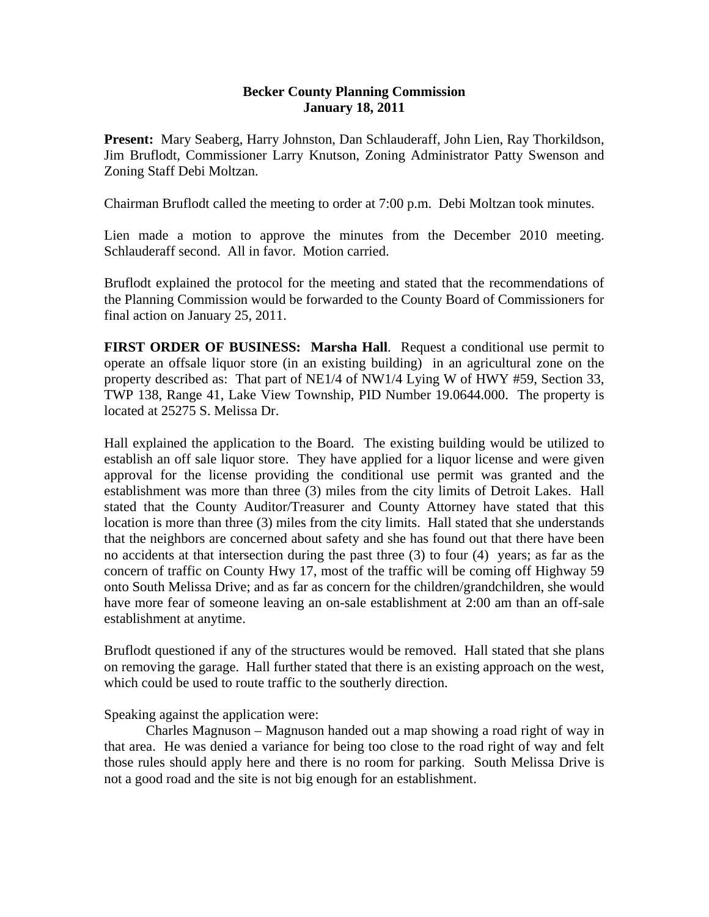## **Becker County Planning Commission January 18, 2011**

**Present:** Mary Seaberg, Harry Johnston, Dan Schlauderaff, John Lien, Ray Thorkildson, Jim Bruflodt, Commissioner Larry Knutson, Zoning Administrator Patty Swenson and Zoning Staff Debi Moltzan.

Chairman Bruflodt called the meeting to order at 7:00 p.m. Debi Moltzan took minutes.

Lien made a motion to approve the minutes from the December 2010 meeting. Schlauderaff second. All in favor. Motion carried.

Bruflodt explained the protocol for the meeting and stated that the recommendations of the Planning Commission would be forwarded to the County Board of Commissioners for final action on January 25, 2011.

**FIRST ORDER OF BUSINESS: Marsha Hall**. Request a conditional use permit to operate an offsale liquor store (in an existing building) in an agricultural zone on the property described as: That part of NE1/4 of NW1/4 Lying W of HWY #59, Section 33, TWP 138, Range 41, Lake View Township, PID Number 19.0644.000. The property is located at 25275 S. Melissa Dr.

Hall explained the application to the Board. The existing building would be utilized to establish an off sale liquor store. They have applied for a liquor license and were given approval for the license providing the conditional use permit was granted and the establishment was more than three (3) miles from the city limits of Detroit Lakes. Hall stated that the County Auditor/Treasurer and County Attorney have stated that this location is more than three (3) miles from the city limits. Hall stated that she understands that the neighbors are concerned about safety and she has found out that there have been no accidents at that intersection during the past three (3) to four (4) years; as far as the concern of traffic on County Hwy 17, most of the traffic will be coming off Highway 59 onto South Melissa Drive; and as far as concern for the children/grandchildren, she would have more fear of someone leaving an on-sale establishment at 2:00 am than an off-sale establishment at anytime.

Bruflodt questioned if any of the structures would be removed. Hall stated that she plans on removing the garage. Hall further stated that there is an existing approach on the west, which could be used to route traffic to the southerly direction.

Speaking against the application were:

 Charles Magnuson – Magnuson handed out a map showing a road right of way in that area. He was denied a variance for being too close to the road right of way and felt those rules should apply here and there is no room for parking. South Melissa Drive is not a good road and the site is not big enough for an establishment.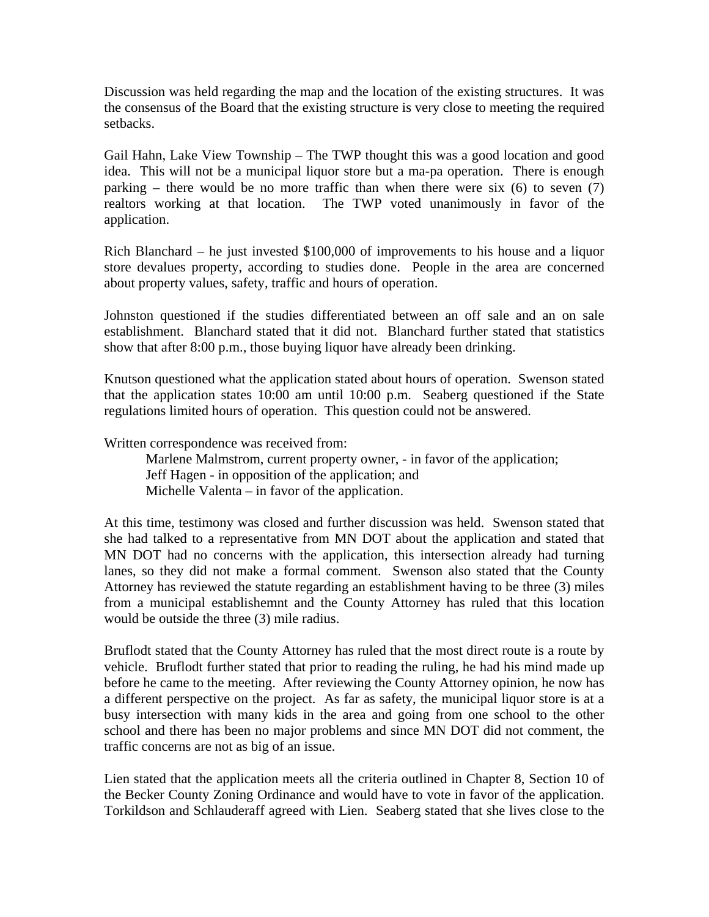Discussion was held regarding the map and the location of the existing structures. It was the consensus of the Board that the existing structure is very close to meeting the required setbacks.

Gail Hahn, Lake View Township – The TWP thought this was a good location and good idea. This will not be a municipal liquor store but a ma-pa operation. There is enough parking – there would be no more traffic than when there were six  $(6)$  to seven  $(7)$ realtors working at that location. The TWP voted unanimously in favor of the application.

Rich Blanchard – he just invested \$100,000 of improvements to his house and a liquor store devalues property, according to studies done. People in the area are concerned about property values, safety, traffic and hours of operation.

Johnston questioned if the studies differentiated between an off sale and an on sale establishment. Blanchard stated that it did not. Blanchard further stated that statistics show that after 8:00 p.m., those buying liquor have already been drinking.

Knutson questioned what the application stated about hours of operation. Swenson stated that the application states 10:00 am until 10:00 p.m. Seaberg questioned if the State regulations limited hours of operation. This question could not be answered.

Written correspondence was received from:

 Marlene Malmstrom, current property owner, - in favor of the application; Jeff Hagen - in opposition of the application; and Michelle Valenta – in favor of the application.

At this time, testimony was closed and further discussion was held. Swenson stated that she had talked to a representative from MN DOT about the application and stated that MN DOT had no concerns with the application, this intersection already had turning lanes, so they did not make a formal comment. Swenson also stated that the County Attorney has reviewed the statute regarding an establishment having to be three (3) miles from a municipal establishemnt and the County Attorney has ruled that this location would be outside the three (3) mile radius.

Bruflodt stated that the County Attorney has ruled that the most direct route is a route by vehicle. Bruflodt further stated that prior to reading the ruling, he had his mind made up before he came to the meeting. After reviewing the County Attorney opinion, he now has a different perspective on the project. As far as safety, the municipal liquor store is at a busy intersection with many kids in the area and going from one school to the other school and there has been no major problems and since MN DOT did not comment, the traffic concerns are not as big of an issue.

Lien stated that the application meets all the criteria outlined in Chapter 8, Section 10 of the Becker County Zoning Ordinance and would have to vote in favor of the application. Torkildson and Schlauderaff agreed with Lien. Seaberg stated that she lives close to the